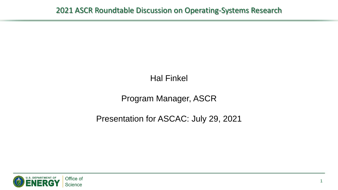# Hal Finkel

# Program Manager, ASCR

### Presentation for ASCAC: July 29, 2021

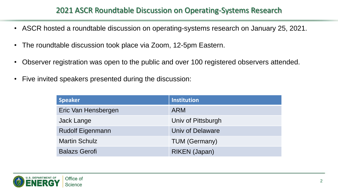#### 2021 ASCR Roundtable Discussion on Operating-Systems Research

- ASCR hosted a roundtable discussion on operating-systems research on January 25, 2021.
- The roundtable discussion took place via Zoom, 12-5pm Eastern.
- Observer registration was open to the public and over 100 registered observers attended.
- Five invited speakers presented during the discussion:

| <b>Speaker</b>          | <b>Institution</b>   |
|-------------------------|----------------------|
| Eric Van Hensbergen     | <b>ARM</b>           |
| Jack Lange              | Univ of Pittsburgh   |
| <b>Rudolf Eigenmann</b> | Univ of Delaware     |
| <b>Martin Schulz</b>    | <b>TUM (Germany)</b> |
| <b>Balazs Gerofi</b>    | RIKEN (Japan)        |

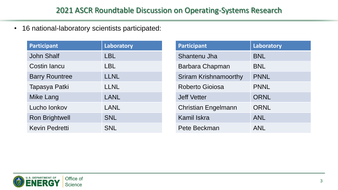• 16 national-laboratory scientists participated:

| <b>Participant</b>    | Laboratory  |
|-----------------------|-------------|
| <b>John Shalf</b>     | <b>LBL</b>  |
| <b>Costin lancu</b>   | LBL         |
| <b>Barry Rountree</b> | <b>LLNL</b> |
| Tapasya Patki         | <b>LLNL</b> |
| Mike Lang             | <b>LANL</b> |
| Lucho lonkov          | LANL        |
| <b>Ron Brightwell</b> | <b>SNL</b>  |
| <b>Kevin Pedretti</b> | <b>SNL</b>  |

| <b>Participant</b>           | Laboratory  |
|------------------------------|-------------|
| Shantenu Jha                 | <b>BNL</b>  |
| Barbara Chapman              | <b>BNL</b>  |
| <b>Sriram Krishnamoorthy</b> | <b>PNNL</b> |
| <b>Roberto Gioiosa</b>       | <b>PNNL</b> |
| <b>Jeff Vetter</b>           | <b>ORNL</b> |
| <b>Christian Engelmann</b>   | <b>ORNL</b> |
| <b>Kamil Iskra</b>           | <b>ANL</b>  |
| Pete Beckman                 | ANL         |

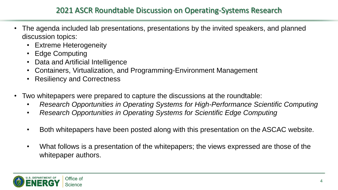- The agenda included lab presentations, presentations by the invited speakers, and planned discussion topics:
	- Extreme Heterogeneity
	- **Edge Computing**
	- Data and Artificial Intelligence
	- Containers, Virtualization, and Programming-Environment Management
	- Resiliency and Correctness
- Two whitepapers were prepared to capture the discussions at the roundtable:
	- *Research Opportunities in Operating Systems for High-Performance Scientific Computing*
	- *Research Opportunities in Operating Systems for Scientific Edge Computing*
	- Both whitepapers have been posted along with this presentation on the ASCAC website.
	- What follows is a presentation of the whitepapers; the views expressed are those of the whitepaper authors.

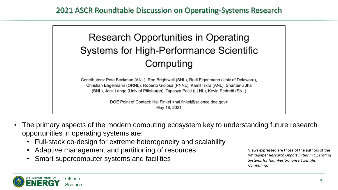

Contributors: Pete Beckman (ANL), Ron Brightwell (SNL), Rudi Eigenmann (Univ of Delaware), Christian Engelmann (ORNL), Roberto Gioiosa (PNNL), Kamil Iskra (ANL), Shantenu Jha (BNL), Jack Lange (Univ of Pittsburgh), Tapasya Patki (LLNL), Kevin Pedretti (SNL)

> DOE Point of Contact: Hal Finkel <hal.finkel@science.doe.gov> May 18, 2021

- The primary aspects of the modern computing ecosystem key to understanding future research opportunities in operating systems are:
	- Full-stack co-design for extreme heterogeneity and scalability
	- Adaptive management and partitioning of resources
	- Smart supercomputer systems and facilities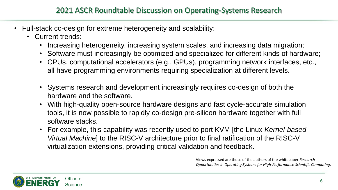- Full-stack co-design for extreme heterogeneity and scalability:
	- Current trends:
		- Increasing heterogeneity, increasing system scales, and increasing data migration;
		- Software must increasingly be optimized and specialized for different kinds of hardware;
		- CPUs, computational accelerators (e.g., GPUs), programming network interfaces, etc., all have programming environments requiring specialization at different levels.
		- Systems research and development increasingly requires co-design of both the hardware and the software.
		- With high-quality open-source hardware designs and fast cycle-accurate simulation tools, it is now possible to rapidly co-design pre-silicon hardware together with full software stacks.
		- For example, this capability was recently used to port KVM [the Linux *Kernel-based Virtual Machine*] to the RISC-V architecture prior to final ratification of the RISC-V virtualization extensions, providing critical validation and feedback.

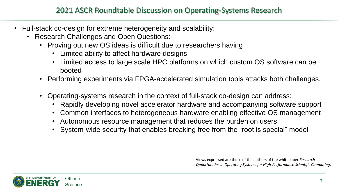#### 2021 ASCR Roundtable Discussion on Operating-Systems Research

- Full-stack co-design for extreme heterogeneity and scalability:
	- Research Challenges and Open Questions:
		- Proving out new OS ideas is difficult due to researchers having
			- Limited ability to affect hardware designs
			- Limited access to large scale HPC platforms on which custom OS software can be booted
		- Performing experiments via FPGA-accelerated simulation tools attacks both challenges.
		- Operating-systems research in the context of full-stack co-design can address:
			- Rapidly developing novel accelerator hardware and accompanying software support
			- Common interfaces to heterogeneous hardware enabling effective OS management
			- Autonomous resource management that reduces the burden on users
			- System-wide security that enables breaking free from the "root is special" model

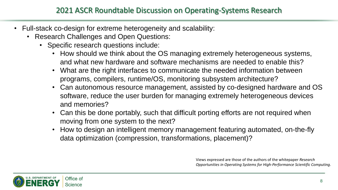- Full-stack co-design for extreme heterogeneity and scalability:
	- Research Challenges and Open Questions:
		- Specific research questions include:
			- How should we think about the OS managing extremely heterogeneous systems, and what new hardware and software mechanisms are needed to enable this?
			- What are the right interfaces to communicate the needed information between programs, compilers, runtime/OS, monitoring subsystem architecture?
			- Can autonomous resource management, assisted by co-designed hardware and OS software, reduce the user burden for managing extremely heterogeneous devices and memories?
			- Can this be done portably, such that difficult porting efforts are not required when moving from one system to the next?
			- How to design an intelligent memory management featuring automated, on-the-fly data optimization (compression, transformations, placement)?

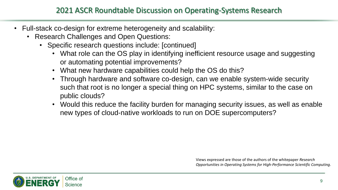- Full-stack co-design for extreme heterogeneity and scalability:
	- Research Challenges and Open Questions:
		- Specific research questions include: [continued]
			- What role can the OS play in identifying inefficient resource usage and suggesting or automating potential improvements?
			- What new hardware capabilities could help the OS do this?
			- Through hardware and software co-design, can we enable system-wide security such that root is no longer a special thing on HPC systems, similar to the case on public clouds?
			- Would this reduce the facility burden for managing security issues, as well as enable new types of cloud-native workloads to run on DOE supercomputers?

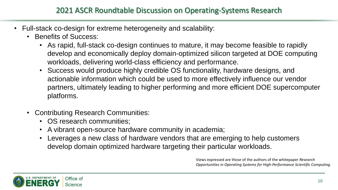- Full-stack co-design for extreme heterogeneity and scalability:
	- Benefits of Success:
		- As rapid, full-stack co-design continues to mature, it may become feasible to rapidly develop and economically deploy domain-optimized silicon targeted at DOE computing workloads, delivering world-class efficiency and performance.
		- Success would produce highly credible OS functionality, hardware designs, and actionable information which could be used to more effectively influence our vendor partners, ultimately leading to higher performing and more efficient DOE supercomputer platforms.
	- Contributing Research Communities:
		- OS research communities;
		- A vibrant open-source hardware community in academia;
		- Leverages a new class of hardware vendors that are emerging to help customers develop domain optimized hardware targeting their particular workloads.

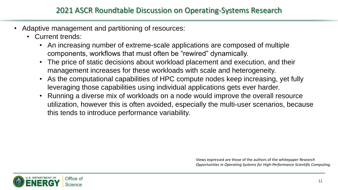- Adaptive management and partitioning of resources:
	- Current trends:
		- An increasing number of extreme-scale applications are composed of multiple components, workflows that must often be "rewired" dynamically.
		- The price of static decisions about workload placement and execution, and their management increases for these workloads with scale and heterogeneity.
		- As the computational capabilities of HPC compute nodes keep increasing, yet fully leveraging those capabilities using individual applications gets ever harder.
		- Running a diverse mix of workloads on a node would improve the overall resource utilization, however this is often avoided, especially the multi-user scenarios, because this tends to introduce performance variability.

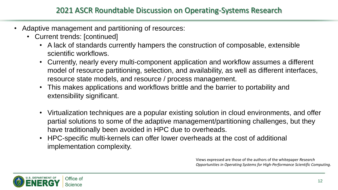- Adaptive management and partitioning of resources:
	- Current trends: [continued]
		- A lack of standards currently hampers the construction of composable, extensible scientific workflows.
		- Currently, nearly every multi-component application and workflow assumes a different model of resource partitioning, selection, and availability, as well as different interfaces, resource state models, and resource / process management.
		- This makes applications and workflows brittle and the barrier to portability and extensibility significant.
		- Virtualization techniques are a popular existing solution in cloud environments, and offer partial solutions to some of the adaptive management/partitioning challenges, but they have traditionally been avoided in HPC due to overheads.
		- HPC-specific multi-kernels can offer lower overheads at the cost of additional implementation complexity.

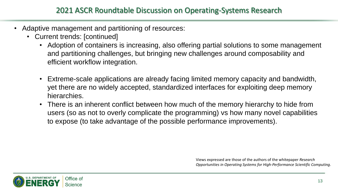- Adaptive management and partitioning of resources:
	- Current trends: [continued]
		- Adoption of containers is increasing, also offering partial solutions to some management and partitioning challenges, but bringing new challenges around composability and efficient workflow integration.
		- Extreme-scale applications are already facing limited memory capacity and bandwidth, yet there are no widely accepted, standardized interfaces for exploiting deep memory hierarchies.
		- There is an inherent conflict between how much of the memory hierarchy to hide from users (so as not to overly complicate the programming) vs how many novel capabilities to expose (to take advantage of the possible performance improvements).

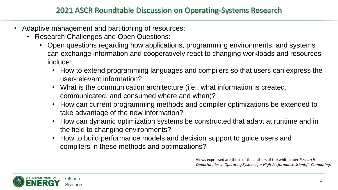- Adaptive management and partitioning of resources:
	- Research Challenges and Open Questions:
		- Open questions regarding how applications, programming environments, and systems can exchange information and cooperatively react to changing workloads and resources include:
			- How to extend programming languages and compilers so that users can express the user-relevant information?
			- What is the communication architecture (i.e., what information is created, communicated, and consumed where and when)?
			- How can current programming methods and compiler optimizations be extended to take advantage of the new information?
			- How can dynamic optimization systems be constructed that adapt at runtime and in the field to changing environments?
			- How to build performance models and decision support to guide users and compilers in these methods and optimizations?

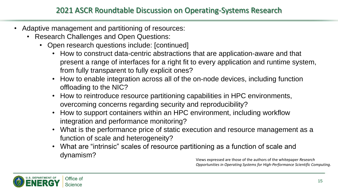- Adaptive management and partitioning of resources:
	- Research Challenges and Open Questions:
		- Open research questions include: [continued]
			- How to construct data-centric abstractions that are application-aware and that present a range of interfaces for a right fit to every application and runtime system, from fully transparent to fully explicit ones?
			- How to enable integration across all of the on-node devices, including function offloading to the NIC?
			- How to reintroduce resource partitioning capabilities in HPC environments, overcoming concerns regarding security and reproducibility?
			- How to support containers within an HPC environment, including workflow integration and performance monitoring?
			- What is the performance price of static execution and resource management as a function of scale and heterogeneity?
			- What are "intrinsic" scales of resource partitioning as a function of scale and dynamism?

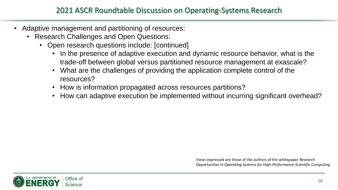- Adaptive management and partitioning of resources:
	- Research Challenges and Open Questions:
		- Open research questions include: [continued]
			- In the presence of adaptive execution and dynamic resource behavior, what is the trade-off between global versus partitioned resource management at exascale?
			- What are the challenges of providing the application complete control of the resources?
			- How is information propagated across resources partitions?
			- How can adaptive execution be implemented without incurring significant overhead?

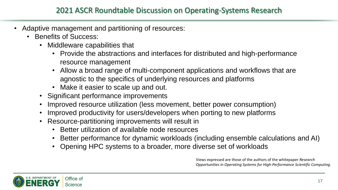- Adaptive management and partitioning of resources:
	- Benefits of Success:
		- Middleware capabilities that
			- Provide the abstractions and interfaces for distributed and high-performance resource management
			- Allow a broad range of multi-component applications and workflows that are agnostic to the specifics of underlying resources and platforms
			- Make it easier to scale up and out.
		- Significant performance improvements
		- Improved resource utilization (less movement, better power consumption)
		- Improved productivity for users/developers when porting to new platforms
		- Resource-partitioning improvements will result in
			- Better utilization of available node resources
			- Better performance for dynamic workloads (including ensemble calculations and AI)
			- Opening HPC systems to a broader, more diverse set of workloads

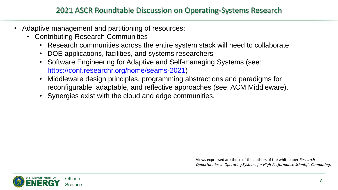- Adaptive management and partitioning of resources:
	- Contributing Research Communities
		- Research communities across the entire system stack will need to collaborate
		- DOE applications, facilities, and systems researchers
		- Software Engineering for Adaptive and Self-managing Systems (see: [https://conf.researchr.org/home/seams-2021\)](https://conf.researchr.org/home/seams-2021)
		- Middleware design principles, programming abstractions and paradigms for reconfigurable, adaptable, and reflective approaches (see: ACM Middleware).
		- Synergies exist with the cloud and edge communities.

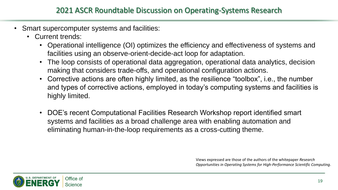- Smart supercomputer systems and facilities:
	- Current trends:
		- Operational intelligence (OI) optimizes the efficiency and effectiveness of systems and facilities using an observe-orient-decide-act loop for adaptation.
		- The loop consists of operational data aggregation, operational data analytics, decision making that considers trade-offs, and operational configuration actions.
		- Corrective actions are often highly limited, as the resilience "toolbox", i.e., the number and types of corrective actions, employed in today's computing systems and facilities is highly limited.
		- DOE's recent Computational Facilities Research Workshop report identified smart systems and facilities as a broad challenge area with enabling automation and eliminating human-in-the-loop requirements as a cross-cutting theme.

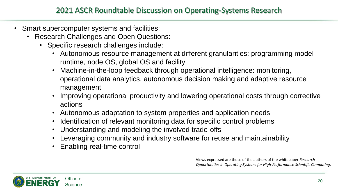- Smart supercomputer systems and facilities:
	- Research Challenges and Open Questions:
		- Specific research challenges include:
			- Autonomous resource management at different granularities: programming model runtime, node OS, global OS and facility
			- Machine-in-the-loop feedback through operational intelligence: monitoring, operational data analytics, autonomous decision making and adaptive resource management
			- Improving operational productivity and lowering operational costs through corrective actions
			- Autonomous adaptation to system properties and application needs
			- Identification of relevant monitoring data for specific control problems
			- Understanding and modeling the involved trade-offs
			- Leveraging community and industry software for reuse and maintainability
			- Enabling real-time control

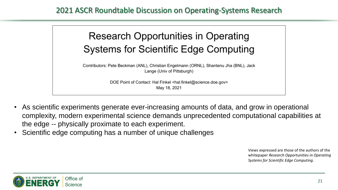

Contributors: Pete Beckman (ANL), Christian Engelmann (ORNL), Shantenu Jha (BNL), Jack Lange (Univ of Pittsburgh)

> DOE Point of Contact: Hal Finkel <hal.finkel@science.doe.gov> May 18, 2021

- As scientific experiments generate ever-increasing amounts of data, and grow in operational complexity, modern experimental science demands unprecedented computational capabilities at the edge -- physically proximate to each experiment.
- Scientific edge computing has a number of unique challenges

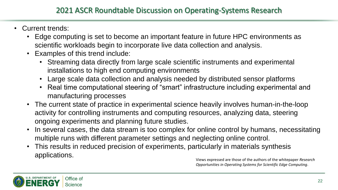- Current trends:
	- Edge computing is set to become an important feature in future HPC environments as scientific workloads begin to incorporate live data collection and analysis.
	- Examples of this trend include:
		- Streaming data directly from large scale scientific instruments and experimental installations to high end computing environments
		- Large scale data collection and analysis needed by distributed sensor platforms
		- Real time computational steering of "smart" infrastructure including experimental and manufacturing processes
	- The current state of practice in experimental science heavily involves human-in-the-loop activity for controlling instruments and computing resources, analyzing data, steering ongoing experiments and planning future studies.
	- In several cases, the data stream is too complex for online control by humans, necessitating multiple runs with different parameter settings and neglecting online control.
	- This results in reduced precision of experiments, particularly in materials synthesis applications.

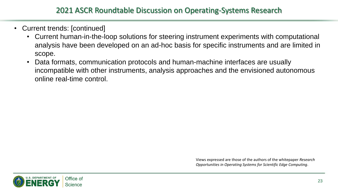- Current trends: [continued]
	- Current human-in-the-loop solutions for steering instrument experiments with computational analysis have been developed on an ad-hoc basis for specific instruments and are limited in scope.
	- Data formats, communication protocols and human-machine interfaces are usually incompatible with other instruments, analysis approaches and the envisioned autonomous online real-time control.



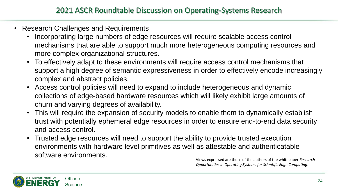- Research Challenges and Requirements
	- Incorporating large numbers of edge resources will require scalable access control mechanisms that are able to support much more heterogeneous computing resources and more complex organizational structures.
	- To effectively adapt to these environments will require access control mechanisms that support a high degree of semantic expressiveness in order to effectively encode increasingly complex and abstract policies.
	- Access control policies will need to expand to include heterogeneous and dynamic collections of edge-based hardware resources which will likely exhibit large amounts of churn and varying degrees of availability.
	- This will require the expansion of security models to enable them to dynamically establish trust with potentially ephemeral edge resources in order to ensure end-to-end data security and access control.
	- Trusted edge resources will need to support the ability to provide trusted execution environments with hardware level primitives as well as attestable and authenticatable software environments.

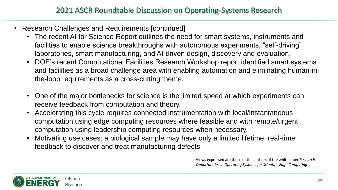- Research Challenges and Requirements [continued]
	- The recent AI for Science Report outlines the need for smart systems, instruments and facilities to enable science breakthroughs with autonomous experiments, "self-driving" laboratories, smart manufacturing, and AI-driven design, discovery and evaluation.
	- DOE's recent Computational Facilities Research Workshop report identified smart systems and facilities as a broad challenge area with enabling automation and eliminating human-inthe-loop requirements as a cross-cutting theme.
	- One of the major bottlenecks for science is the limited speed at which experiments can receive feedback from computation and theory.
	- Accelerating this cycle requires connected instrumentation with local/instantaneous computation using edge computing resources where feasible and with remote/urgent computation using leadership computing resources when necessary.
	- Motivating use cases: a biological sample may have only a limited lifetime, real-time feedback to discover and treat manufacturing defects

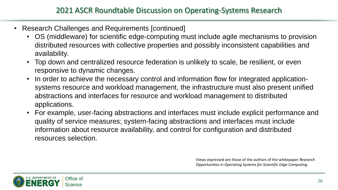- Research Challenges and Requirements [continued]
	- OS (middleware) for scientific edge-computing must include agile mechanisms to provision distributed resources with collective properties and possibly inconsistent capabilities and availability.
	- Top down and centralized resource federation is unlikely to scale, be resilient, or even responsive to dynamic changes.
	- In order to achieve the necessary control and information flow for integrated applicationsystems resource and workload management, the infrastructure must also present unified abstractions and interfaces for resource and workload management to distributed applications.
	- For example, user-facing abstractions and interfaces must include explicit performance and quality of service measures; system-facing abstractions and interfaces must include information about resource availability, and control for configuration and distributed resources selection.

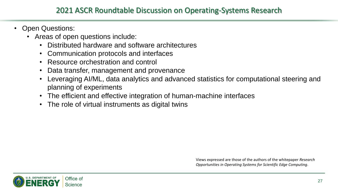#### 2021 ASCR Roundtable Discussion on Operating-Systems Research

- **Open Questions:** 
	- Areas of open questions include:
		- Distributed hardware and software architectures
		- Communication protocols and interfaces
		- Resource orchestration and control
		- Data transfer, management and provenance
		- Leveraging AI/ML, data analytics and advanced statistics for computational steering and planning of experiments
		- The efficient and effective integration of human-machine interfaces
		- The role of virtual instruments as digital twins